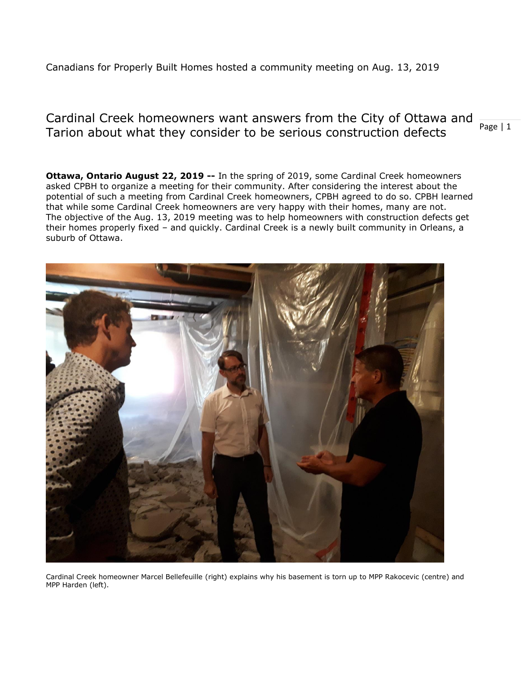## Canadians for Properly Built Homes hosted a community meeting on Aug. 13, 2019

### Page | 1 Cardinal Creek homeowners want answers from the City of Ottawa and Tarion about what they consider to be serious construction defects

**Ottawa, Ontario August 22, 2019 --** In the spring of 2019, some Cardinal Creek homeowners asked CPBH to organize a meeting for their community. After considering the interest about the potential of such a meeting from Cardinal Creek homeowners, CPBH agreed to do so. CPBH learned that while some Cardinal Creek homeowners are very happy with their homes, many are not. The objective of the Aug. 13, 2019 meeting was to help homeowners with construction defects get their homes properly fixed – and quickly. Cardinal Creek is a newly built community in Orleans, a suburb of Ottawa.



Cardinal Creek homeowner Marcel Bellefeuille (right) explains why his basement is torn up to MPP Rakocevic (centre) and MPP Harden (left).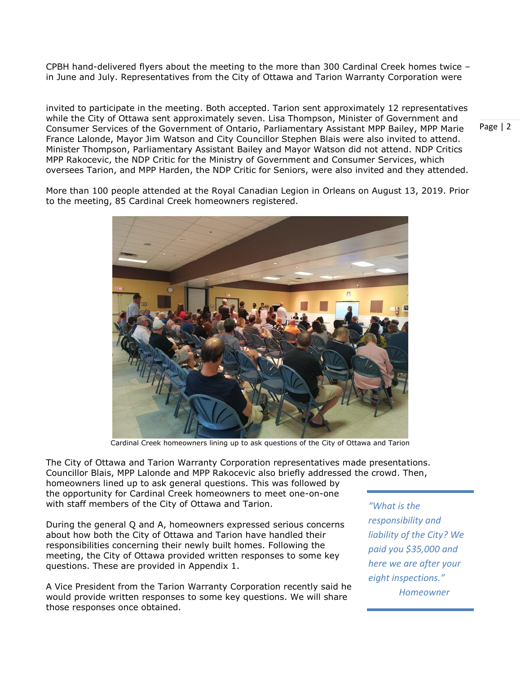CPBH hand-delivered flyers about the meeting to the more than 300 Cardinal Creek homes twice – in June and July. Representatives from the City of Ottawa and Tarion Warranty Corporation were

invited to participate in the meeting. Both accepted. Tarion sent approximately 12 representatives while the City of Ottawa sent approximately seven. Lisa Thompson, Minister of Government and Consumer Services of the Government of Ontario, Parliamentary Assistant MPP Bailey, MPP Marie France Lalonde, Mayor Jim Watson and City Councillor Stephen Blais were also invited to attend. Minister Thompson, Parliamentary Assistant Bailey and Mayor Watson did not attend. NDP Critics MPP Rakocevic, the NDP Critic for the Ministry of Government and Consumer Services, which oversees Tarion, and MPP Harden, the NDP Critic for Seniors, were also invited and they attended.

More than 100 people attended at the Royal Canadian Legion in Orleans on August 13, 2019. Prior to the meeting, 85 Cardinal Creek homeowners registered.



Cardinal Creek homeowners lining up to ask questions of the City of Ottawa and Tarion

The City of Ottawa and Tarion Warranty Corporation representatives made presentations. Councillor Blais, MPP Lalonde and MPP Rakocevic also briefly addressed the crowd. Then, homeowners lined up to ask general questions. This was followed by the opportunity for Cardinal Creek homeowners to meet one-on-one with staff members of the City of Ottawa and Tarion.

During the general Q and A, homeowners expressed serious concerns about how both the City of Ottawa and Tarion have handled their responsibilities concerning their newly built homes. Following the meeting, the City of Ottawa provided written responses to some key questions. These are provided in Appendix 1.

A Vice President from the Tarion Warranty Corporation recently said he would provide written responses to some key questions. We will share those responses once obtained.

*"What is the responsibility and liability of the City? We paid you \$35,000 and here we are after your eight inspections." Homeowner*

Page | 2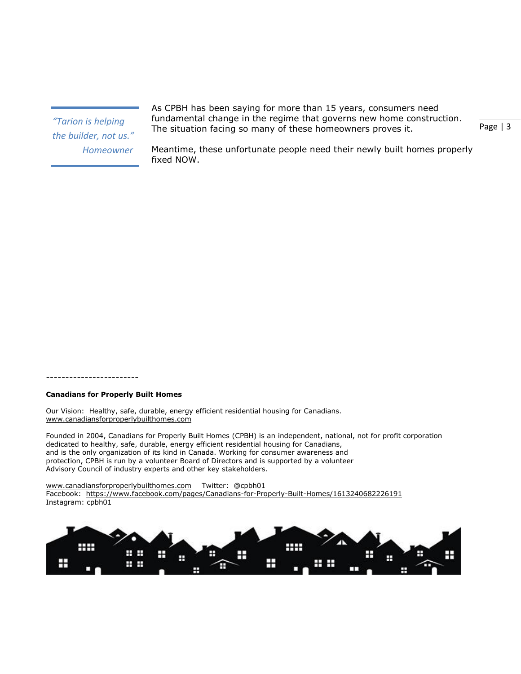*"Tarion is helping the builder, not us." Homeowner*

As CPBH has been saying for more than 15 years, consumers need fundamental change in the regime that governs new home construction. The situation facing so many of these homeowners proves it.

Page | 3

Meantime, these unfortunate people need their newly built homes properly fixed NOW.

#### ------------------------

#### **Canadians for Properly Built Homes**

Our Vision: Healthy, safe, durable, energy efficient residential housing for Canadians. [www.canadiansforproperlybuilthomes.com](http://www.canadiansforproperlybuilthomes.com/)

Founded in 2004, Canadians for Properly Built Homes (CPBH) is an independent, national, not for profit corporation dedicated to healthy, safe, durable, energy efficient residential housing for Canadians, and is the only organization of its kind in Canada. Working for consumer awareness and protection, CPBH is run by a volunteer Board of Directors and is supported by a volunteer Advisory Council of industry experts and other key stakeholders.

[www.canadiansforproperlybuilthomes.com](http://www.canadiansforproperlybuilthomes.com/) Twitter: @cpbh01

Facebook: <https://www.facebook.com/pages/Canadians-for-Properly-Built-Homes/1613240682226191> Instagram: cpbh01

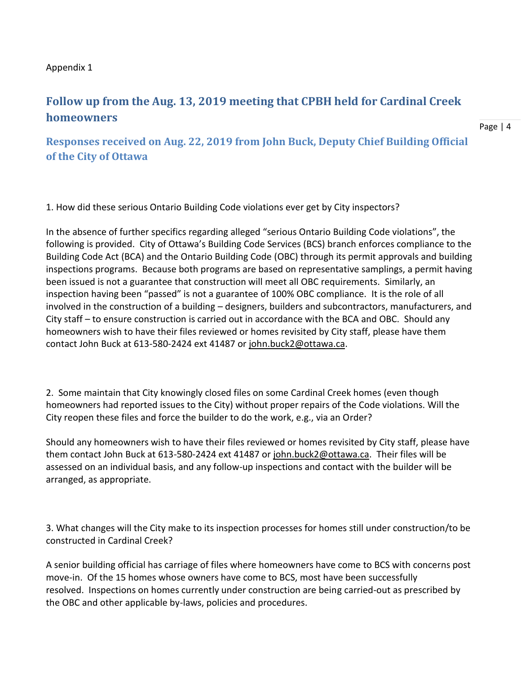## Appendix 1

# **Follow up from the Aug. 13, 2019 meeting that CPBH held for Cardinal Creek homeowners**

**Responses received on Aug. 22, 2019 from John Buck, Deputy Chief Building Official of the City of Ottawa**

1. How did these serious Ontario Building Code violations ever get by City inspectors?

In the absence of further specifics regarding alleged "serious Ontario Building Code violations", the following is provided. City of Ottawa's Building Code Services (BCS) branch enforces compliance to the Building Code Act (BCA) and the Ontario Building Code (OBC) through its permit approvals and building inspections programs. Because both programs are based on representative samplings, a permit having been issued is not a guarantee that construction will meet all OBC requirements. Similarly, an inspection having been "passed" is not a guarantee of 100% OBC compliance. It is the role of all involved in the construction of a building – designers, builders and subcontractors, manufacturers, and City staff – to ensure construction is carried out in accordance with the BCA and OBC. Should any homeowners wish to have their files reviewed or homes revisited by City staff, please have them contact John Buck at 613-580-2424 ext 41487 or [john.buck2@ottawa.ca.](mailto:john.buck2@ottawa.ca)

2. Some maintain that City knowingly closed files on some Cardinal Creek homes (even though homeowners had reported issues to the City) without proper repairs of the Code violations. Will the City reopen these files and force the builder to do the work, e.g., via an Order?

Should any homeowners wish to have their files reviewed or homes revisited by City staff, please have them contact John Buck at 613-580-2424 ext 41487 or [john.buck2@ottawa.ca.](mailto:john.buck2@ottawa.ca) Their files will be assessed on an individual basis, and any follow-up inspections and contact with the builder will be arranged, as appropriate.

3. What changes will the City make to its inspection processes for homes still under construction/to be constructed in Cardinal Creek?

A senior building official has carriage of files where homeowners have come to BCS with concerns post move-in. Of the 15 homes whose owners have come to BCS, most have been successfully resolved. Inspections on homes currently under construction are being carried-out as prescribed by the OBC and other applicable by-laws, policies and procedures.

Page | 4